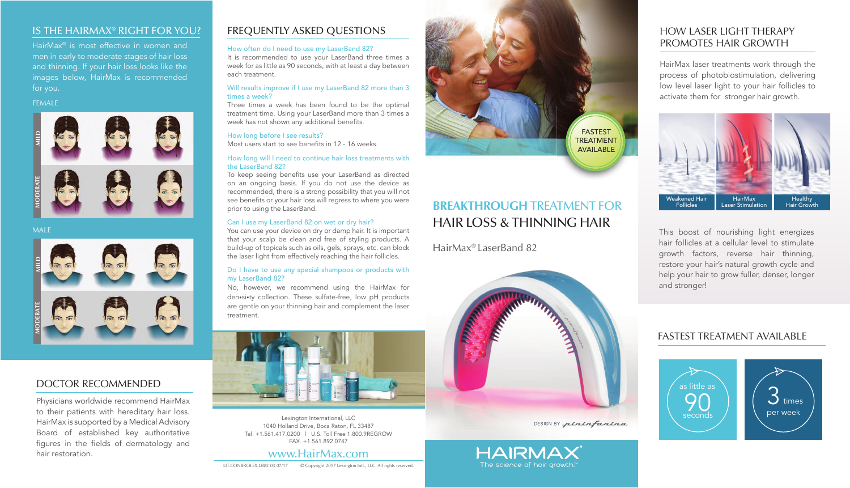LIT-CONBROLEX-LB82 03 07/17 © Copyright 2017 Lexington Intl., LLC. All rights reserved.

# **BREAKTHROUGH** TREATMENT FOR HAIR LOSS & THINNING HAIR

## DOCTOR RECOMMENDED

Physicians worldwide recommend HairMax to their patients with hereditary hair loss. HairMax is supported by a Medical Advisory Board of established key authoritative figures in the fields of dermatology and hair restoration.

# IS THE HAIRMAX® RIGHT FOR YOU?

# HairMax® LaserBand 82



DESIGN BY pininfarina



# HOW LASER LIGHT THERAPY PROMOTES HAIR GROWTH

#### Will results improve if I use my LaserBand 82 more than 3 times a week?

Three times a week has been found to be the optimal treatment time. Using your LaserBand more than 3 times a week has not shown any additional benefits.

HairMax laser treatments work through the process of photobiostimulation, delivering low level laser light to your hair follicles to activate them for stronger hair growth.

# FREQUENTLY ASKED QUESTIONS

#### How often do I need to use my LaserBand 82?

To keep seeing benefits use your LaserBand as directed on an ongoing basis. If you do not use the device as recommended, there is a strong possibility that you will not see benefits or your hair loss will regress to where you were prior to using the LaserBand.

It is recommended to use your LaserBand three times a week for as little as 90 seconds, with at least a day between each treatment.

#### How long before I see results?

Most users start to see benefits in 12 - 16 weeks.

#### How long will I need to continue hair loss treatments with the LaserBand 82?

#### Can I use my LaserBand 82 on wet or dry hair?

You can use your device on dry or damp hair. It is important that your scalp be clean and free of styling products. A build-up of topicals such as oils, gels, sprays, etc. can block the laser light from effectively reaching the hair follicles.

#### Do I have to use any special shampoos or products with my LaserBand 82?

No, however, we recommend using the HairMax for den•si•ty collection. These sulfate-free, low pH products are gentle on your thinning hair and complement the laser treatment.



#### FEMALE



#### **MALE**





HairMax® is most effective in women and men in early to moderate stages of hair loss and thinning. If your hair loss looks like the images below, HairMax is recommended for you.

> Lexington International, LLC 1040 Holland Drive, Boca Raton, FL 33487 Tel. +1.561.417.0200 | U.S. Toll Free 1.800.9REGROW FAX. +1.561.892.0747

# www.HairMax.com



This boost of nourishing light energizes hair follicles at a cellular level to stimulate growth factors, reverse hair thinning, restore your hair's natural growth cycle and help your hair to grow fuller, denser, longer and stronger!



# FASTEST TREATMENT AVAILABLE